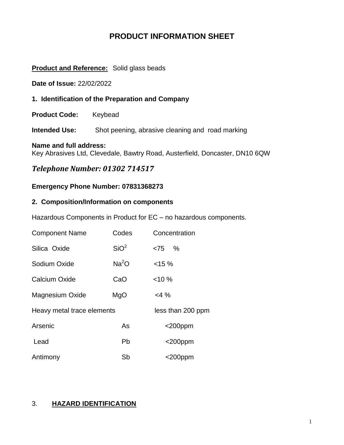# **PRODUCT INFORMATION SHEET**

### **Product and Reference:** Solid glass beads

**Date of Issue:** 22/02/2022

**1. Identification of the Preparation and Company**

**Product Code:** Keybead

**Intended Use:** Shot peening, abrasive cleaning and road marking

#### **Name and full address:**

Key Abrasives Ltd, Clevedale, Bawtry Road, Austerfield, Doncaster, DN10 6QW

# *Telephone Number: 01302 714517*

### **Emergency Phone Number: 07831368273**

### **2. Composition/Information on components**

Hazardous Components in Product for EC – no hazardous components.

| <b>Component Name</b>      | Codes             | Concentration     |
|----------------------------|-------------------|-------------------|
| Silica Oxide               | SiO <sup>2</sup>  | $<75$ %           |
| Sodium Oxide               | Na <sup>2</sup> O | $< 15 \%$         |
| Calcium Oxide              | CaO               | $< 10 \%$         |
| <b>Magnesium Oxide</b>     | MgO               | $<$ 4 %           |
| Heavy metal trace elements |                   | less than 200 ppm |
| Arsenic                    | As                | $<$ 200ppm        |
| Lead                       | Pb                | $<$ 200ppm        |
| Antimony                   | Sb                | <200ppm           |

### 3. **HAZARD IDENTIFICATION**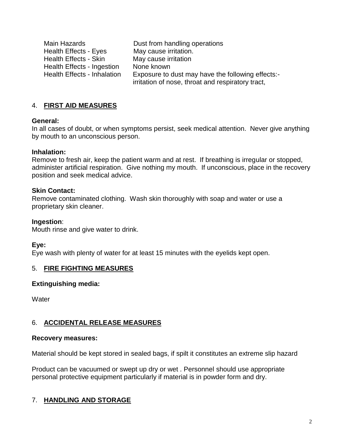Main Hazards **Dust from handling operations** Health Effects - Eyes May cause irritation. Health Effects - Skin May cause irritation Health Effects - Ingestion None known<br>Health Effects - Inhalation Exposure to a Exposure to dust may have the following effects:irritation of nose, throat and respiratory tract,

# 4. **FIRST AID MEASURES**

#### **General:**

In all cases of doubt, or when symptoms persist, seek medical attention. Never give anything by mouth to an unconscious person.

### **Inhalation:**

Remove to fresh air, keep the patient warm and at rest. If breathing is irregular or stopped, administer artificial respiration. Give nothing my mouth. If unconscious, place in the recovery position and seek medical advice.

### **Skin Contact:**

Remove contaminated clothing. Wash skin thoroughly with soap and water or use a proprietary skin cleaner.

### **Ingestion**:

Mouth rinse and give water to drink.

### **Eye:**

Eye wash with plenty of water for at least 15 minutes with the eyelids kept open.

### 5. **FIRE FIGHTING MEASURES**

### **Extinguishing media:**

**Water** 

### 6. **ACCIDENTAL RELEASE MEASURES**

#### **Recovery measures:**

Material should be kept stored in sealed bags, if spilt it constitutes an extreme slip hazard

Product can be vacuumed or swept up dry or wet . Personnel should use appropriate personal protective equipment particularly if material is in powder form and dry.

### 7. **HANDLING AND STORAGE**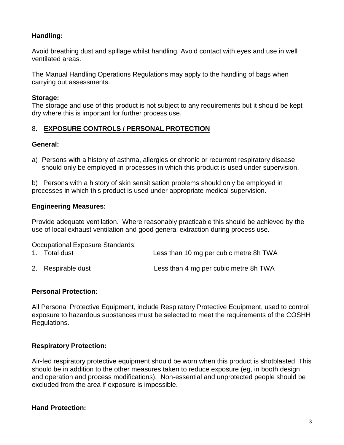# **Handling:**

Avoid breathing dust and spillage whilst handling. Avoid contact with eyes and use in well ventilated areas.

The Manual Handling Operations Regulations may apply to the handling of bags when carrying out assessments.

### **Storage:**

The storage and use of this product is not subject to any requirements but it should be kept dry where this is important for further process use.

# 8. **EXPOSURE CONTROLS / PERSONAL PROTECTION**

### **General:**

a) Persons with a history of asthma, allergies or chronic or recurrent respiratory disease should only be employed in processes in which this product is used under supervision.

b) Persons with a history of skin sensitisation problems should only be employed in processes in which this product is used under appropriate medical supervision.

### **Engineering Measures:**

Provide adequate ventilation. Where reasonably practicable this should be achieved by the use of local exhaust ventilation and good general extraction during process use.

Occupational Exposure Standards:

- 1. Total dust Less than 10 mg per cubic metre 8h TWA
- 2. Respirable dust Less than 4 mg per cubic metre 8h TWA

### **Personal Protection:**

All Personal Protective Equipment, include Respiratory Protective Equipment, used to control exposure to hazardous substances must be selected to meet the requirements of the COSHH Regulations.

### **Respiratory Protection:**

Air-fed respiratory protective equipment should be worn when this product is shotblasted This should be in addition to the other measures taken to reduce exposure (eg, in booth design and operation and process modifications). Non-essential and unprotected people should be excluded from the area if exposure is impossible.

### **Hand Protection:**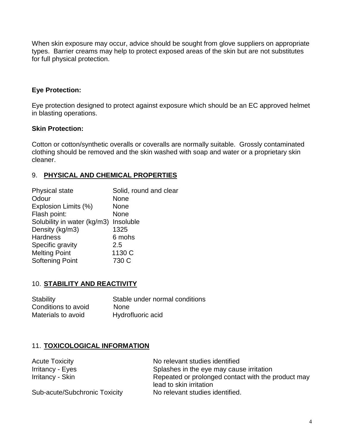When skin exposure may occur, advice should be sought from glove suppliers on appropriate types. Barrier creams may help to protect exposed areas of the skin but are not substitutes for full physical protection.

# **Eye Protection:**

Eye protection designed to protect against exposure which should be an EC approved helmet in blasting operations.

### **Skin Protection:**

Cotton or cotton/synthetic overalls or coveralls are normally suitable. Grossly contaminated clothing should be removed and the skin washed with soap and water or a proprietary skin cleaner.

### 9. **PHYSICAL AND CHEMICAL PROPERTIES**

| <b>Physical state</b>                 | Solid, round and clear |
|---------------------------------------|------------------------|
| Odour                                 | None                   |
| Explosion Limits (%)                  | None                   |
| Flash point:                          | None                   |
| Solubility in water (kg/m3) Insoluble |                        |
| Density (kg/m3)                       | 1325                   |
| <b>Hardness</b>                       | 6 mohs                 |
| Specific gravity                      | 2.5                    |
| <b>Melting Point</b>                  | 1130 C                 |
| <b>Softening Point</b>                | 730 C                  |
|                                       |                        |

### 10. **STABILITY AND REACTIVITY**

| Stability           | Stable under normal conditions |
|---------------------|--------------------------------|
| Conditions to avoid | <b>None</b>                    |
| Materials to avoid  | Hydrofluoric acid              |

### 11. **TOXICOLOGICAL INFORMATION**

| <b>Acute Toxicity</b>         | No relevant studies identified                                                |
|-------------------------------|-------------------------------------------------------------------------------|
| Irritancy - Eyes              | Splashes in the eye may cause irritation                                      |
| Irritancy - Skin              | Repeated or prolonged contact with the product may<br>lead to skin irritation |
| Sub-acute/Subchronic Toxicity | No relevant studies identified.                                               |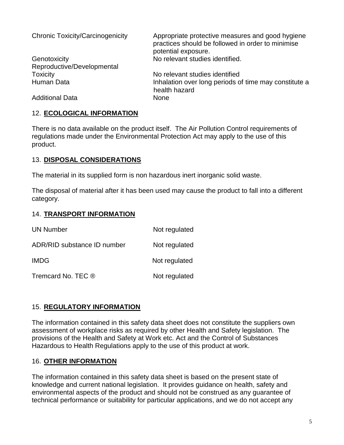| <b>Chronic Toxicity/Carcinogenicity</b> | Appropriate protective measures and good hygiene<br>practices should be followed in order to minimise<br>potential exposure. |
|-----------------------------------------|------------------------------------------------------------------------------------------------------------------------------|
| Genotoxicity                            | No relevant studies identified.                                                                                              |
| Reproductive/Developmental              |                                                                                                                              |
| <b>Toxicity</b>                         | No relevant studies identified                                                                                               |
| Human Data                              | Inhalation over long periods of time may constitute a<br>health hazard                                                       |
| <b>Additional Data</b>                  | <b>None</b>                                                                                                                  |

### 12. **ECOLOGICAL INFORMATION**

There is no data available on the product itself. The Air Pollution Control requirements of regulations made under the Environmental Protection Act may apply to the use of this product.

### 13. **DISPOSAL CONSIDERATIONS**

The material in its supplied form is non hazardous inert inorganic solid waste.

The disposal of material after it has been used may cause the product to fall into a different category.

### 14. **TRANSPORT INFORMATION**

| <b>UN Number</b>            | Not regulated |
|-----------------------------|---------------|
| ADR/RID substance ID number | Not regulated |
| <b>IMDG</b>                 | Not regulated |
| Tremcard No. TEC ®          | Not regulated |

### 15. **REGULATORY INFORMATION**

The information contained in this safety data sheet does not constitute the suppliers own assessment of workplace risks as required by other Health and Safety legislation. The provisions of the Health and Safety at Work etc. Act and the Control of Substances Hazardous to Health Regulations apply to the use of this product at work.

### 16. **OTHER INFORMATION**

The information contained in this safety data sheet is based on the present state of knowledge and current national legislation. It provides guidance on health, safety and environmental aspects of the product and should not be construed as any guarantee of technical performance or suitability for particular applications, and we do not accept any